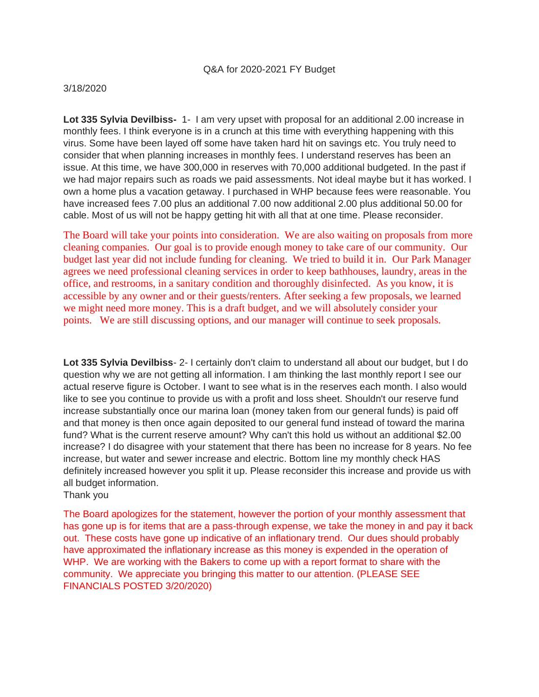#### Q&A for 2020-2021 FY Budget

#### 3/18/2020

**Lot 335 Sylvia Devilbiss-** 1- I am very upset with proposal for an additional 2.00 increase in monthly fees. I think everyone is in a crunch at this time with everything happening with this virus. Some have been layed off some have taken hard hit on savings etc. You truly need to consider that when planning increases in monthly fees. I understand reserves has been an issue. At this time, we have 300,000 in reserves with 70,000 additional budgeted. In the past if we had major repairs such as roads we paid assessments. Not ideal maybe but it has worked. I own a home plus a vacation getaway. I purchased in WHP because fees were reasonable. You have increased fees 7.00 plus an additional 7.00 now additional 2.00 plus additional 50.00 for cable. Most of us will not be happy getting hit with all that at one time. Please reconsider.

The Board will take your points into consideration. We are also waiting on proposals from more cleaning companies. Our goal is to provide enough money to take care of our community. Our budget last year did not include funding for cleaning. We tried to build it in. Our Park Manager agrees we need professional cleaning services in order to keep bathhouses, laundry, areas in the office, and restrooms, in a sanitary condition and thoroughly disinfected. As you know, it is accessible by any owner and or their guests/renters. After seeking a few proposals, we learned we might need more money. This is a draft budget, and we will absolutely consider your points. We are still discussing options, and our manager will continue to seek proposals.

**Lot 335 Sylvia Devilbiss**- 2- I certainly don't claim to understand all about our budget, but I do question why we are not getting all information. I am thinking the last monthly report I see our actual reserve figure is October. I want to see what is in the reserves each month. I also would like to see you continue to provide us with a profit and loss sheet. Shouldn't our reserve fund increase substantially once our marina loan (money taken from our general funds) is paid off and that money is then once again deposited to our general fund instead of toward the marina fund? What is the current reserve amount? Why can't this hold us without an additional \$2.00 increase? I do disagree with your statement that there has been no increase for 8 years. No fee increase, but water and sewer increase and electric. Bottom line my monthly check HAS definitely increased however you split it up. Please reconsider this increase and provide us with all budget information.

Thank you

The Board apologizes for the statement, however the portion of your monthly assessment that has gone up is for items that are a pass-through expense, we take the money in and pay it back out. These costs have gone up indicative of an inflationary trend. Our dues should probably have approximated the inflationary increase as this money is expended in the operation of WHP. We are working with the Bakers to come up with a report format to share with the community. We appreciate you bringing this matter to our attention. (PLEASE SEE FINANCIALS POSTED 3/20/2020)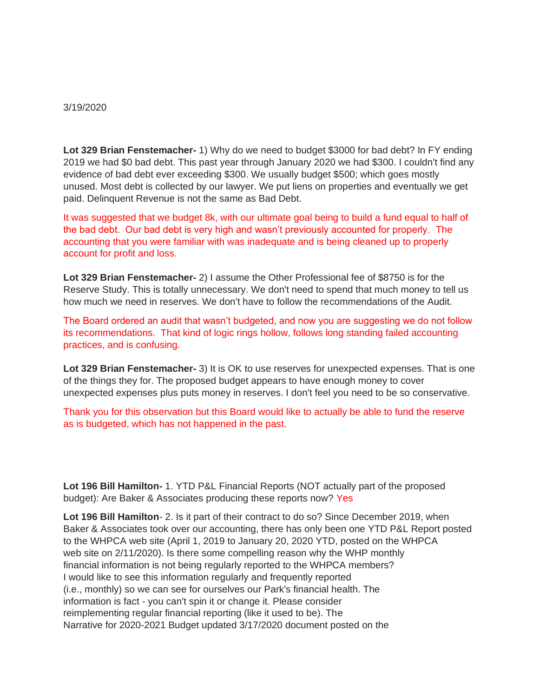#### 3/19/2020

**Lot 329 Brian Fenstemacher-** 1) Why do we need to budget \$3000 for bad debt? In FY ending 2019 we had \$0 bad debt. This past year through January 2020 we had \$300. I couldn't find any evidence of bad debt ever exceeding \$300. We usually budget \$500; which goes mostly unused. Most debt is collected by our lawyer. We put liens on properties and eventually we get paid. Delinquent Revenue is not the same as Bad Debt.

It was suggested that we budget 8k, with our ultimate goal being to build a fund equal to half of the bad debt. Our bad debt is very high and wasn't previously accounted for properly. The accounting that you were familiar with was inadequate and is being cleaned up to properly account for profit and loss.

**Lot 329 Brian Fenstemacher-** 2) I assume the Other Professional fee of \$8750 is for the Reserve Study. This is totally unnecessary. We don't need to spend that much money to tell us how much we need in reserves. We don't have to follow the recommendations of the Audit.

The Board ordered an audit that wasn't budgeted, and now you are suggesting we do not follow its recommendations. That kind of logic rings hollow, follows long standing failed accounting practices, and is confusing.

**Lot 329 Brian Fenstemacher-** 3) It is OK to use reserves for unexpected expenses. That is one of the things they for. The proposed budget appears to have enough money to cover unexpected expenses plus puts money in reserves. I don't feel you need to be so conservative.

Thank you for this observation but this Board would like to actually be able to fund the reserve as is budgeted, which has not happened in the past.

**Lot 196 Bill Hamilton-** 1. YTD P&L Financial Reports (NOT actually part of the proposed budget): Are Baker & Associates producing these reports now? Yes

**Lot 196 Bill Hamilton**- 2. Is it part of their contract to do so? Since December 2019, when Baker & Associates took over our accounting, there has only been one YTD P&L Report posted to the WHPCA web site (April 1, 2019 to January 20, 2020 YTD, posted on the WHPCA web site on 2/11/2020). Is there some compelling reason why the WHP monthly financial information is not being regularly reported to the WHPCA members? I would like to see this information regularly and frequently reported (i.e., monthly) so we can see for ourselves our Park's financial health. The information is fact - you can't spin it or change it. Please consider reimplementing regular financial reporting (like it used to be). The Narrative for 2020-2021 Budget updated 3/17/2020 document posted on the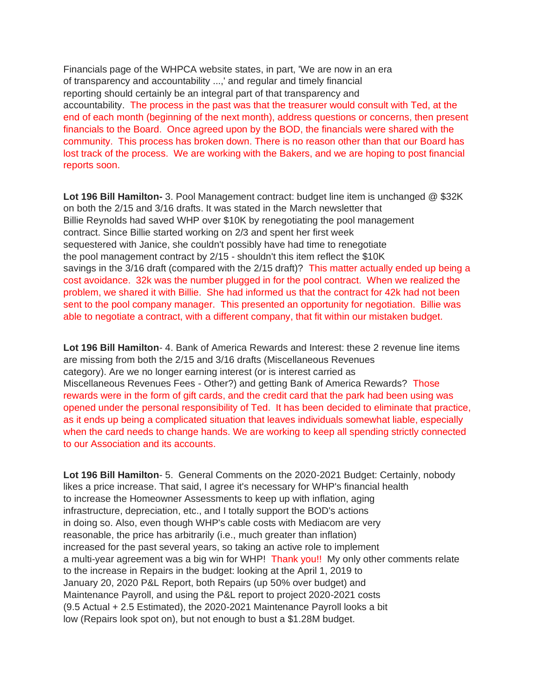Financials page of the WHPCA website states, in part, 'We are now in an era of transparency and accountability ...,' and regular and timely financial reporting should certainly be an integral part of that transparency and accountability. The process in the past was that the treasurer would consult with Ted, at the end of each month (beginning of the next month), address questions or concerns, then present financials to the Board. Once agreed upon by the BOD, the financials were shared with the community. This process has broken down. There is no reason other than that our Board has lost track of the process. We are working with the Bakers, and we are hoping to post financial reports soon.

**Lot 196 Bill Hamilton-** 3. Pool Management contract: budget line item is unchanged @ \$32K on both the 2/15 and 3/16 drafts. It was stated in the March newsletter that Billie Reynolds had saved WHP over \$10K by renegotiating the pool management contract. Since Billie started working on 2/3 and spent her first week sequestered with Janice, she couldn't possibly have had time to renegotiate the pool management contract by 2/15 - shouldn't this item reflect the \$10K savings in the 3/16 draft (compared with the 2/15 draft)? This matter actually ended up being a cost avoidance. 32k was the number plugged in for the pool contract. When we realized the problem, we shared it with Billie. She had informed us that the contract for 42k had not been sent to the pool company manager. This presented an opportunity for negotiation. Billie was able to negotiate a contract, with a different company, that fit within our mistaken budget.

**Lot 196 Bill Hamilton**- 4. Bank of America Rewards and Interest: these 2 revenue line items are missing from both the 2/15 and 3/16 drafts (Miscellaneous Revenues category). Are we no longer earning interest (or is interest carried as Miscellaneous Revenues Fees - Other?) and getting Bank of America Rewards? Those rewards were in the form of gift cards, and the credit card that the park had been using was opened under the personal responsibility of Ted. It has been decided to eliminate that practice, as it ends up being a complicated situation that leaves individuals somewhat liable, especially when the card needs to change hands. We are working to keep all spending strictly connected to our Association and its accounts.

**Lot 196 Bill Hamilton**- 5. General Comments on the 2020-2021 Budget: Certainly, nobody likes a price increase. That said, I agree it's necessary for WHP's financial health to increase the Homeowner Assessments to keep up with inflation, aging infrastructure, depreciation, etc., and I totally support the BOD's actions in doing so. Also, even though WHP's cable costs with Mediacom are very reasonable, the price has arbitrarily (i.e., much greater than inflation) increased for the past several years, so taking an active role to implement a multi-year agreement was a big win for WHP! Thank you!! My only other comments relate to the increase in Repairs in the budget: looking at the April 1, 2019 to January 20, 2020 P&L Report, both Repairs (up 50% over budget) and Maintenance Payroll, and using the P&L report to project 2020-2021 costs (9.5 Actual + 2.5 Estimated), the 2020-2021 Maintenance Payroll looks a bit low (Repairs look spot on), but not enough to bust a \$1.28M budget.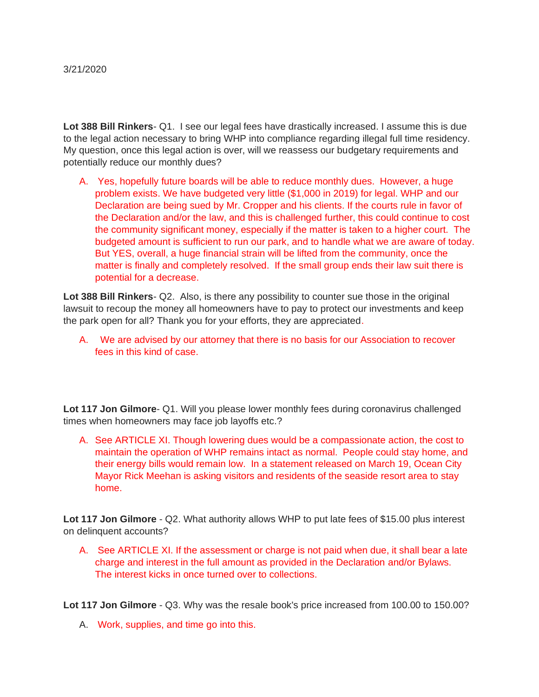**Lot 388 Bill Rinkers**- Q1. I see our legal fees have drastically increased. I assume this is due to the legal action necessary to bring WHP into compliance regarding illegal full time residency. My question, once this legal action is over, will we reassess our budgetary requirements and potentially reduce our monthly dues?

A. Yes, hopefully future boards will be able to reduce monthly dues. However, a huge problem exists. We have budgeted very little (\$1,000 in 2019) for legal. WHP and our Declaration are being sued by Mr. Cropper and his clients. If the courts rule in favor of the Declaration and/or the law, and this is challenged further, this could continue to cost the community significant money, especially if the matter is taken to a higher court. The budgeted amount is sufficient to run our park, and to handle what we are aware of today. But YES, overall, a huge financial strain will be lifted from the community, once the matter is finally and completely resolved. If the small group ends their law suit there is potential for a decrease.

**Lot 388 Bill Rinkers**- Q2. Also, is there any possibility to counter sue those in the original lawsuit to recoup the money all homeowners have to pay to protect our investments and keep the park open for all? Thank you for your efforts, they are appreciated.

A. We are advised by our attorney that there is no basis for our Association to recover fees in this kind of case.

**Lot 117 Jon Gilmore**- Q1. Will you please lower monthly fees during coronavirus challenged times when homeowners may face job layoffs etc.?

A. See ARTICLE XI. Though lowering dues would be a compassionate action, the cost to maintain the operation of WHP remains intact as normal. People could stay home, and their energy bills would remain low. In a statement released on March 19, Ocean City Mayor Rick Meehan is asking visitors and residents of the seaside resort area to stay home.

**Lot 117 Jon Gilmore** - Q2. What authority allows WHP to put late fees of \$15.00 plus interest on delinquent accounts?

A. See ARTICLE XI. If the assessment or charge is not paid when due, it shall bear a late charge and interest in the full amount as provided in the Declaration and/or Bylaws. The interest kicks in once turned over to collections.

**Lot 117 Jon Gilmore** - Q3. Why was the resale book's price increased from 100.00 to 150.00?

A. Work, supplies, and time go into this.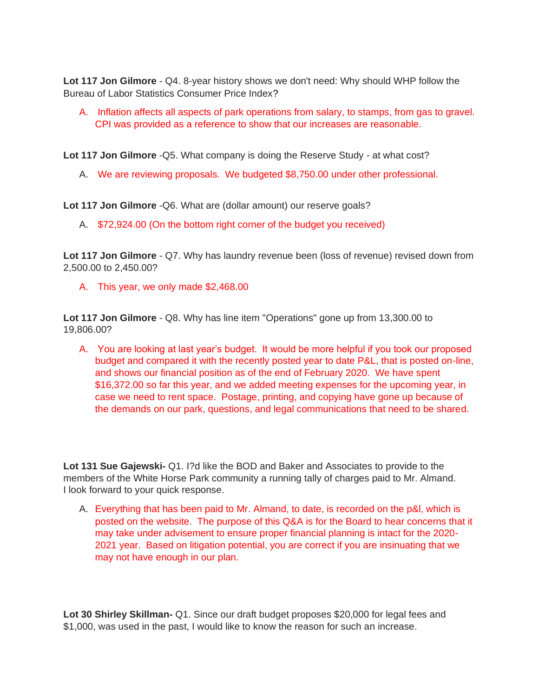**Lot 117 Jon Gilmore** - Q4. 8-year history shows we don't need: Why should WHP follow the Bureau of Labor Statistics Consumer Price Index?

A. Inflation affects all aspects of park operations from salary, to stamps, from gas to gravel. CPI was provided as a reference to show that our increases are reasonable.

**Lot 117 Jon Gilmore** -Q5. What company is doing the Reserve Study - at what cost?

A. We are reviewing proposals. We budgeted \$8,750.00 under other professional.

**Lot 117 Jon Gilmore** -Q6. What are (dollar amount) our reserve goals?

A. \$72,924.00 (On the bottom right corner of the budget you received)

**Lot 117 Jon Gilmore** - Q7. Why has laundry revenue been (loss of revenue) revised down from 2,500.00 to 2,450.00?

A. This year, we only made \$2,468.00

**Lot 117 Jon Gilmore** - Q8. Why has line item "Operations" gone up from 13,300.00 to 19,806.00?

A. You are looking at last year's budget. It would be more helpful if you took our proposed budget and compared it with the recently posted year to date P&L, that is posted on-line, and shows our financial position as of the end of February 2020. We have spent \$16,372.00 so far this year, and we added meeting expenses for the upcoming year, in case we need to rent space. Postage, printing, and copying have gone up because of the demands on our park, questions, and legal communications that need to be shared.

**Lot 131 Sue Gajewski-** Q1. I?d like the BOD and Baker and Associates to provide to the members of the White Horse Park community a running tally of charges paid to Mr. Almand. I look forward to your quick response.

A. Everything that has been paid to Mr. Almand, to date, is recorded on the p&l, which is posted on the website. The purpose of this Q&A is for the Board to hear concerns that it may take under advisement to ensure proper financial planning is intact for the 2020- 2021 year. Based on litigation potential, you are correct if you are insinuating that we may not have enough in our plan.

**Lot 30 Shirley Skillman-** Q1. Since our draft budget proposes \$20,000 for legal fees and \$1,000, was used in the past, I would like to know the reason for such an increase.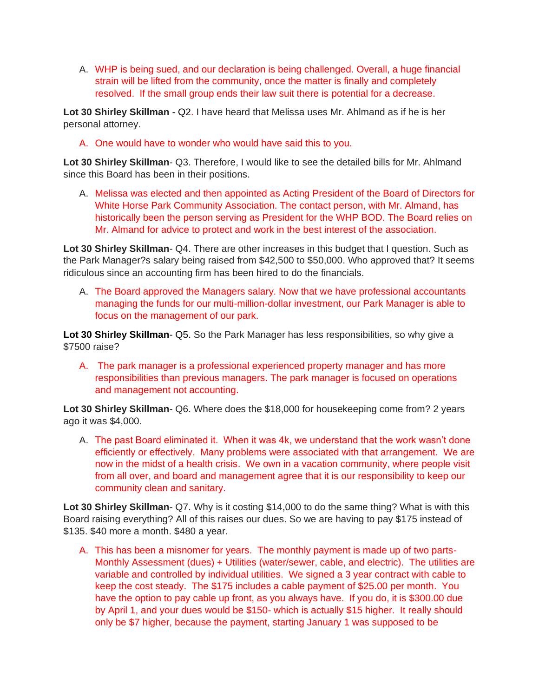A. WHP is being sued, and our declaration is being challenged. Overall, a huge financial strain will be lifted from the community, once the matter is finally and completely resolved. If the small group ends their law suit there is potential for a decrease.

**Lot 30 Shirley Skillman** - Q2. I have heard that Melissa uses Mr. Ahlmand as if he is her personal attorney.

A. One would have to wonder who would have said this to you.

**Lot 30 Shirley Skillman**- Q3. Therefore, I would like to see the detailed bills for Mr. Ahlmand since this Board has been in their positions.

A. Melissa was elected and then appointed as Acting President of the Board of Directors for White Horse Park Community Association. The contact person, with Mr. Almand, has historically been the person serving as President for the WHP BOD. The Board relies on Mr. Almand for advice to protect and work in the best interest of the association.

**Lot 30 Shirley Skillman**- Q4. There are other increases in this budget that I question. Such as the Park Manager?s salary being raised from \$42,500 to \$50,000. Who approved that? It seems ridiculous since an accounting firm has been hired to do the financials.

A. The Board approved the Managers salary. Now that we have professional accountants managing the funds for our multi-million-dollar investment, our Park Manager is able to focus on the management of our park.

**Lot 30 Shirley Skillman**- Q5. So the Park Manager has less responsibilities, so why give a \$7500 raise?

A. The park manager is a professional experienced property manager and has more responsibilities than previous managers. The park manager is focused on operations and management not accounting.

**Lot 30 Shirley Skillman**- Q6. Where does the \$18,000 for housekeeping come from? 2 years ago it was \$4,000.

A. The past Board eliminated it. When it was 4k, we understand that the work wasn't done efficiently or effectively. Many problems were associated with that arrangement. We are now in the midst of a health crisis. We own in a vacation community, where people visit from all over, and board and management agree that it is our responsibility to keep our community clean and sanitary.

**Lot 30 Shirley Skillman**- Q7. Why is it costing \$14,000 to do the same thing? What is with this Board raising everything? All of this raises our dues. So we are having to pay \$175 instead of \$135. \$40 more a month. \$480 a year.

A. This has been a misnomer for years. The monthly payment is made up of two parts-Monthly Assessment (dues) + Utilities (water/sewer, cable, and electric). The utilities are variable and controlled by individual utilities. We signed a 3 year contract with cable to keep the cost steady. The \$175 includes a cable payment of \$25.00 per month. You have the option to pay cable up front, as you always have. If you do, it is \$300.00 due by April 1, and your dues would be \$150- which is actually \$15 higher. It really should only be \$7 higher, because the payment, starting January 1 was supposed to be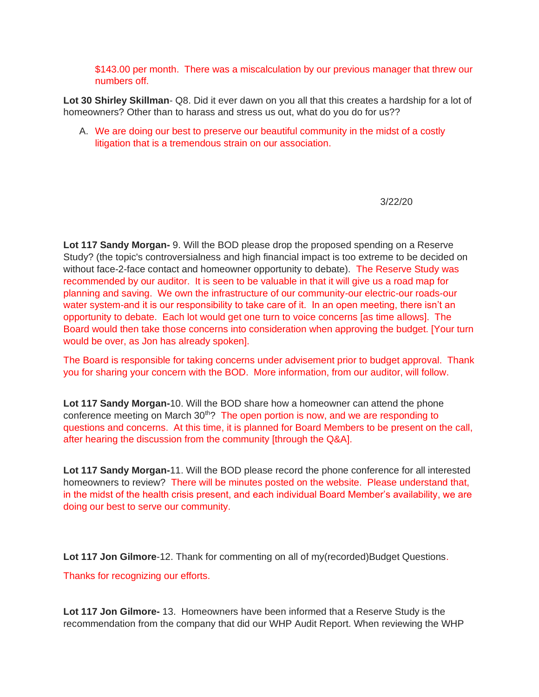\$143.00 per month. There was a miscalculation by our previous manager that threw our numbers off.

**Lot 30 Shirley Skillman**- Q8. Did it ever dawn on you all that this creates a hardship for a lot of homeowners? Other than to harass and stress us out, what do you do for us??

A. We are doing our best to preserve our beautiful community in the midst of a costly litigation that is a tremendous strain on our association.

3/22/20

**Lot 117 Sandy Morgan-** 9. Will the BOD please drop the proposed spending on a Reserve Study? (the topic's controversialness and high financial impact is too extreme to be decided on without face-2-face contact and homeowner opportunity to debate). The Reserve Study was recommended by our auditor. It is seen to be valuable in that it will give us a road map for planning and saving. We own the infrastructure of our community-our electric-our roads-our water system-and it is our responsibility to take care of it. In an open meeting, there isn't an opportunity to debate. Each lot would get one turn to voice concerns [as time allows]. The Board would then take those concerns into consideration when approving the budget. [Your turn would be over, as Jon has already spoken].

The Board is responsible for taking concerns under advisement prior to budget approval. Thank you for sharing your concern with the BOD. More information, from our auditor, will follow.

**Lot 117 Sandy Morgan-**10. Will the BOD share how a homeowner can attend the phone conference meeting on March  $30<sup>th</sup>$ ? The open portion is now, and we are responding to questions and concerns. At this time, it is planned for Board Members to be present on the call, after hearing the discussion from the community [through the Q&A].

**Lot 117 Sandy Morgan-**11. Will the BOD please record the phone conference for all interested homeowners to review? There will be minutes posted on the website. Please understand that, in the midst of the health crisis present, and each individual Board Member's availability, we are doing our best to serve our community.

Lot 117 Jon Gilmore-12. Thank for commenting on all of my(recorded)Budget Questions.

Thanks for recognizing our efforts.

**Lot 117 Jon Gilmore-** 13. Homeowners have been informed that a Reserve Study is the recommendation from the company that did our WHP Audit Report. When reviewing the WHP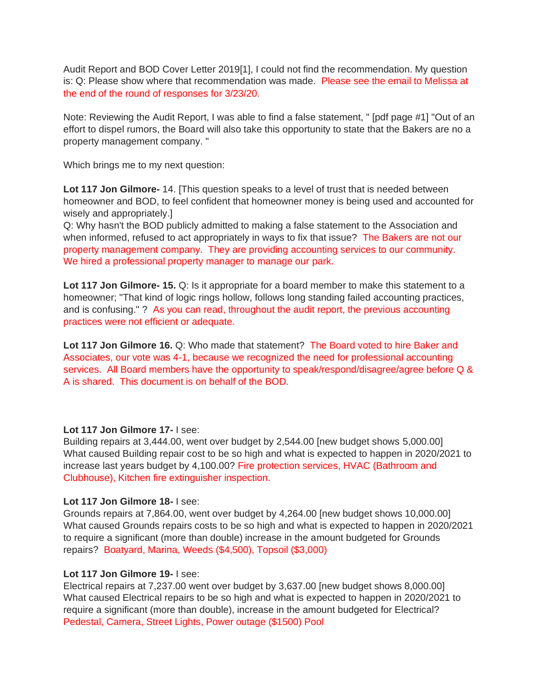Audit Report and BOD Cover Letter 2019[1], I could not find the recommendation. My question is: Q: Please show where that recommendation was made. Please see the email to Melissa at the end of the round of responses for 3/23/20.

Note: Reviewing the Audit Report, I was able to find a false statement, " [pdf page #1] "Out of an effort to dispel rumors, the Board will also take this opportunity to state that the Bakers are no a property management company. "

Which brings me to my next question:

**Lot 117 Jon Gilmore-** 14. [This question speaks to a level of trust that is needed between homeowner and BOD, to feel confident that homeowner money is being used and accounted for wisely and appropriately.]

Q: Why hasn't the BOD publicly admitted to making a false statement to the Association and when informed, refused to act appropriately in ways to fix that issue? The Bakers are not our property management company. They are providing accounting services to our community. We hired a professional property manager to manage our park.

**Lot 117 Jon Gilmore- 15.** Q: Is it appropriate for a board member to make this statement to a homeowner; "That kind of logic rings hollow, follows long standing failed accounting practices, and is confusing." ? As you can read, throughout the audit report, the previous accounting practices were not efficient or adequate.

**Lot 117 Jon Gilmore 16.** Q: Who made that statement? The Board voted to hire Baker and Associates, our vote was 4-1, because we recognized the need for professional accounting services. All Board members have the opportunity to speak/respond/disagree/agree before Q & A is shared. This document is on behalf of the BOD.

#### **Lot 117 Jon Gilmore 17-** I see:

Building repairs at 3,444.00, went over budget by 2,544.00 [new budget shows 5,000.00] What caused Building repair cost to be so high and what is expected to happen in 2020/2021 to increase last years budget by 4,100.00? Fire protection services, HVAC (Bathroom and Clubhouse), Kitchen fire extinguisher inspection.

#### **Lot 117 Jon Gilmore 18-** I see:

Grounds repairs at 7,864.00, went over budget by 4,264.00 [new budget shows 10,000.00] What caused Grounds repairs costs to be so high and what is expected to happen in 2020/2021 to require a significant (more than double) increase in the amount budgeted for Grounds repairs? Boatyard, Marina, Weeds (\$4,500), Topsoil (\$3,000)

#### **Lot 117 Jon Gilmore 19-** I see:

Electrical repairs at 7,237.00 went over budget by 3,637.00 [new budget shows 8,000.00] What caused Electrical repairs to be so high and what is expected to happen in 2020/2021 to require a significant (more than double), increase in the amount budgeted for Electrical? Pedestal, Camera, Street Lights, Power outage (\$1500) Pool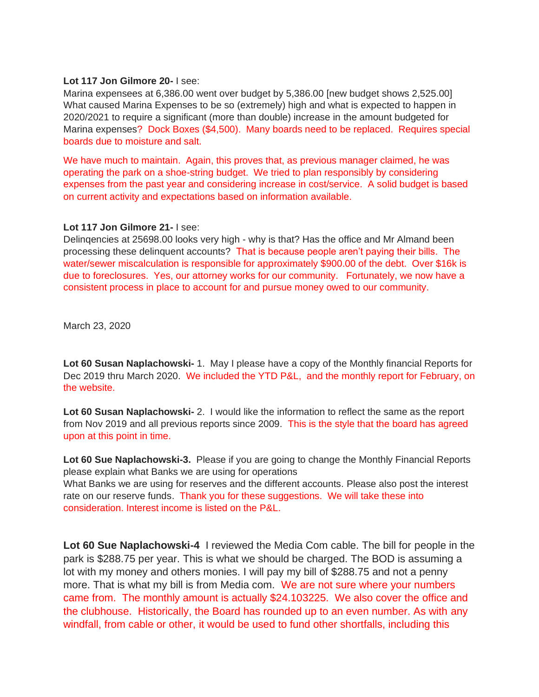#### **Lot 117 Jon Gilmore 20-** I see:

Marina expensees at 6,386.00 went over budget by 5,386.00 [new budget shows 2,525.00] What caused Marina Expenses to be so (extremely) high and what is expected to happen in 2020/2021 to require a significant (more than double) increase in the amount budgeted for Marina expenses? Dock Boxes (\$4,500). Many boards need to be replaced. Requires special boards due to moisture and salt.

We have much to maintain. Again, this proves that, as previous manager claimed, he was operating the park on a shoe-string budget. We tried to plan responsibly by considering expenses from the past year and considering increase in cost/service. A solid budget is based on current activity and expectations based on information available.

### **Lot 117 Jon Gilmore 21-** I see:

Delinqencies at 25698.00 looks very high - why is that? Has the office and Mr Almand been processing these delinquent accounts? That is because people aren't paying their bills. The water/sewer miscalculation is responsible for approximately \$900.00 of the debt. Over \$16k is due to foreclosures. Yes, our attorney works for our community. Fortunately, we now have a consistent process in place to account for and pursue money owed to our community.

March 23, 2020

**Lot 60 Susan Naplachowski-** 1. May I please have a copy of the Monthly financial Reports for Dec 2019 thru March 2020. We included the YTD P&L, and the monthly report for February, on the website.

**Lot 60 Susan Naplachowski-** 2. I would like the information to reflect the same as the report from Nov 2019 and all previous reports since 2009. This is the style that the board has agreed upon at this point in time.

**Lot 60 Sue Naplachowski-3.** Please if you are going to change the Monthly Financial Reports please explain what Banks we are using for operations What Banks we are using for reserves and the different accounts. Please also post the interest rate on our reserve funds. Thank you for these suggestions. We will take these into consideration. Interest income is listed on the P&L.

**Lot 60 Sue Naplachowski-4** I reviewed the Media Com cable. The bill for people in the park is \$288.75 per year. This is what we should be charged. The BOD is assuming a lot with my money and others monies. I will pay my bill of \$288.75 and not a penny more. That is what my bill is from Media com. We are not sure where your numbers came from. The monthly amount is actually \$24.103225. We also cover the office and the clubhouse. Historically, the Board has rounded up to an even number. As with any windfall, from cable or other, it would be used to fund other shortfalls, including this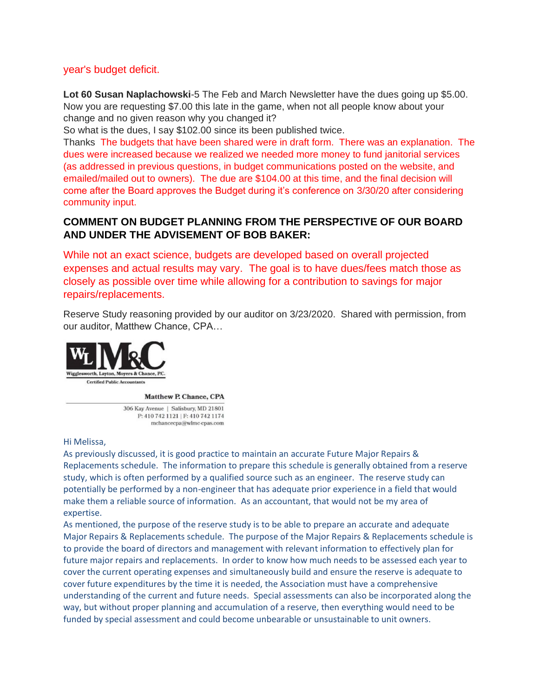## year's budget deficit.

**Lot 60 Susan Naplachowski**-5 The Feb and March Newsletter have the dues going up \$5.00. Now you are requesting \$7.00 this late in the game, when not all people know about your change and no given reason why you changed it?

So what is the dues, I say \$102.00 since its been published twice.

Thanks The budgets that have been shared were in draft form. There was an explanation. The dues were increased because we realized we needed more money to fund janitorial services (as addressed in previous questions, in budget communications posted on the website, and emailed/mailed out to owners). The due are \$104.00 at this time, and the final decision will come after the Board approves the Budget during it's conference on 3/30/20 after considering community input.

## **COMMENT ON BUDGET PLANNING FROM THE PERSPECTIVE OF OUR BOARD AND UNDER THE ADVISEMENT OF BOB BAKER:**

While not an exact science, budgets are developed based on overall projected expenses and actual results may vary. The goal is to have dues/fees match those as closely as possible over time while allowing for a contribution to savings for major repairs/replacements.

Reserve Study reasoning provided by our auditor on 3/23/2020. Shared with permission, from our auditor, Matthew Chance, CPA…



#### Matthew P. Chance, CPA

306 Kay Avenue | Salisbury, MD 21801 P: 410 742 1121 | F: 410 742 1174 mchancecpa@wlmc-cpas.com

#### Hi Melissa,

As previously discussed, it is good practice to maintain an accurate Future Major Repairs & Replacements schedule. The information to prepare this schedule is generally obtained from a reserve study, which is often performed by a qualified source such as an engineer. The reserve study can potentially be performed by a non-engineer that has adequate prior experience in a field that would make them a reliable source of information. As an accountant, that would not be my area of expertise.

As mentioned, the purpose of the reserve study is to be able to prepare an accurate and adequate Major Repairs & Replacements schedule. The purpose of the Major Repairs & Replacements schedule is to provide the board of directors and management with relevant information to effectively plan for future major repairs and replacements. In order to know how much needs to be assessed each year to cover the current operating expenses and simultaneously build and ensure the reserve is adequate to cover future expenditures by the time it is needed, the Association must have a comprehensive understanding of the current and future needs. Special assessments can also be incorporated along the way, but without proper planning and accumulation of a reserve, then everything would need to be funded by special assessment and could become unbearable or unsustainable to unit owners.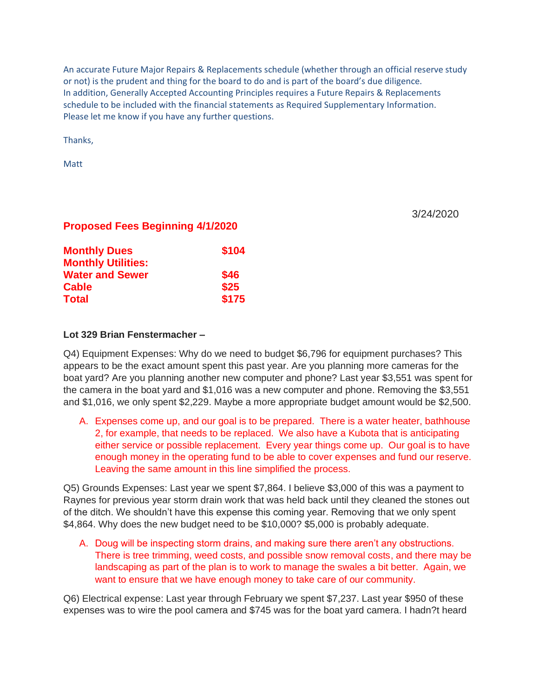An accurate Future Major Repairs & Replacements schedule (whether through an official reserve study or not) is the prudent and thing for the board to do and is part of the board's due diligence. In addition, Generally Accepted Accounting Principles requires a Future Repairs & Replacements schedule to be included with the financial statements as Required Supplementary Information. Please let me know if you have any further questions.

Thanks,

Matt

3/24/2020

## **Proposed Fees Beginning 4/1/2020**

| \$104 |
|-------|
|       |
| \$25  |
| \$175 |
|       |

#### **Lot 329 Brian Fenstermacher –**

Q4) Equipment Expenses: Why do we need to budget \$6,796 for equipment purchases? This appears to be the exact amount spent this past year. Are you planning more cameras for the boat yard? Are you planning another new computer and phone? Last year \$3,551 was spent for the camera in the boat yard and \$1,016 was a new computer and phone. Removing the \$3,551 and \$1,016, we only spent \$2,229. Maybe a more appropriate budget amount would be \$2,500.

A. Expenses come up, and our goal is to be prepared. There is a water heater, bathhouse 2, for example, that needs to be replaced. We also have a Kubota that is anticipating either service or possible replacement. Every year things come up. Our goal is to have enough money in the operating fund to be able to cover expenses and fund our reserve. Leaving the same amount in this line simplified the process.

Q5) Grounds Expenses: Last year we spent \$7,864. I believe \$3,000 of this was a payment to Raynes for previous year storm drain work that was held back until they cleaned the stones out of the ditch. We shouldn't have this expense this coming year. Removing that we only spent \$4,864. Why does the new budget need to be \$10,000? \$5,000 is probably adequate.

A. Doug will be inspecting storm drains, and making sure there aren't any obstructions. There is tree trimming, weed costs, and possible snow removal costs, and there may be landscaping as part of the plan is to work to manage the swales a bit better. Again, we want to ensure that we have enough money to take care of our community.

Q6) Electrical expense: Last year through February we spent \$7,237. Last year \$950 of these expenses was to wire the pool camera and \$745 was for the boat yard camera. I hadn?t heard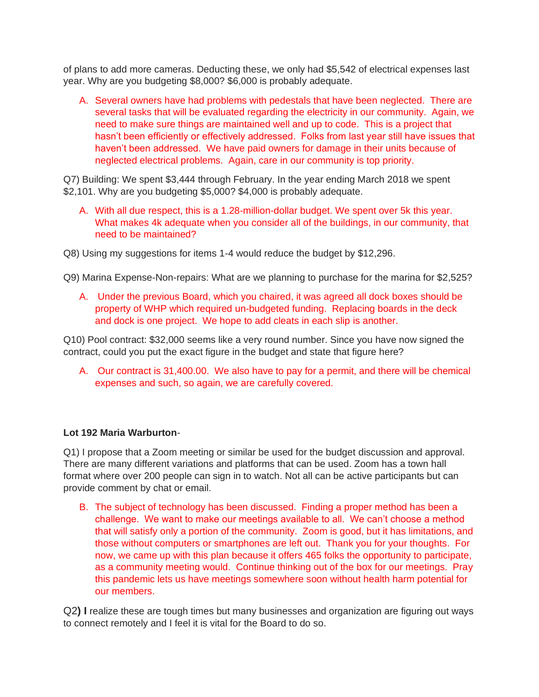of plans to add more cameras. Deducting these, we only had \$5,542 of electrical expenses last year. Why are you budgeting \$8,000? \$6,000 is probably adequate.

A. Several owners have had problems with pedestals that have been neglected. There are several tasks that will be evaluated regarding the electricity in our community. Again, we need to make sure things are maintained well and up to code. This is a project that hasn't been efficiently or effectively addressed. Folks from last year still have issues that haven't been addressed. We have paid owners for damage in their units because of neglected electrical problems. Again, care in our community is top priority.

Q7) Building: We spent \$3,444 through February. In the year ending March 2018 we spent \$2,101. Why are you budgeting \$5,000? \$4,000 is probably adequate.

A. With all due respect, this is a 1.28-million-dollar budget. We spent over 5k this year. What makes 4k adequate when you consider all of the buildings, in our community, that need to be maintained?

Q8) Using my suggestions for items 1-4 would reduce the budget by \$12,296.

Q9) Marina Expense-Non-repairs: What are we planning to purchase for the marina for \$2,525?

A. Under the previous Board, which you chaired, it was agreed all dock boxes should be property of WHP which required un-budgeted funding. Replacing boards in the deck and dock is one project. We hope to add cleats in each slip is another.

Q10) Pool contract: \$32,000 seems like a very round number. Since you have now signed the contract, could you put the exact figure in the budget and state that figure here?

A. Our contract is 31,400.00. We also have to pay for a permit, and there will be chemical expenses and such, so again, we are carefully covered.

### **Lot 192 Maria Warburton**-

Q1) I propose that a Zoom meeting or similar be used for the budget discussion and approval. There are many different variations and platforms that can be used. Zoom has a town hall format where over 200 people can sign in to watch. Not all can be active participants but can provide comment by chat or email.

B. The subject of technology has been discussed. Finding a proper method has been a challenge. We want to make our meetings available to all. We can't choose a method that will satisfy only a portion of the community. Zoom is good, but it has limitations, and those without computers or smartphones are left out. Thank you for your thoughts. For now, we came up with this plan because it offers 465 folks the opportunity to participate, as a community meeting would. Continue thinking out of the box for our meetings. Pray this pandemic lets us have meetings somewhere soon without health harm potential for our members.

Q2**) I** realize these are tough times but many businesses and organization are figuring out ways to connect remotely and I feel it is vital for the Board to do so.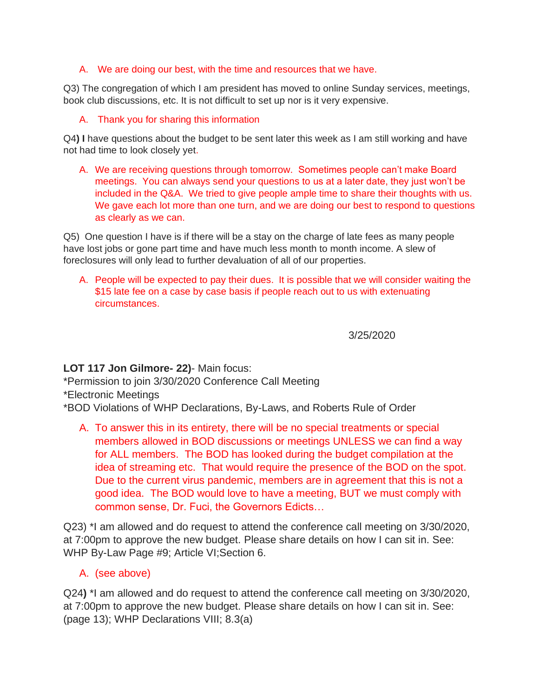## A. We are doing our best, with the time and resources that we have.

Q3) The congregation of which I am president has moved to online Sunday services, meetings, book club discussions, etc. It is not difficult to set up nor is it very expensive.

## A. Thank you for sharing this information

Q4**) I** have questions about the budget to be sent later this week as I am still working and have not had time to look closely yet.

A. We are receiving questions through tomorrow. Sometimes people can't make Board meetings. You can always send your questions to us at a later date, they just won't be included in the Q&A. We tried to give people ample time to share their thoughts with us. We gave each lot more than one turn, and we are doing our best to respond to questions as clearly as we can.

Q5)One question I have is if there will be a stay on the charge of late fees as many people have lost jobs or gone part time and have much less month to month income. A slew of foreclosures will only lead to further devaluation of all of our properties.

A. People will be expected to pay their dues. It is possible that we will consider waiting the \$15 late fee on a case by case basis if people reach out to us with extenuating circumstances.

3/25/2020

## **LOT 117 Jon Gilmore- 22)**- Main focus:

\*Permission to join 3/30/2020 Conference Call Meeting

\*Electronic Meetings

\*BOD Violations of WHP Declarations, By-Laws, and Roberts Rule of Order

A. To answer this in its entirety, there will be no special treatments or special members allowed in BOD discussions or meetings UNLESS we can find a way for ALL members. The BOD has looked during the budget compilation at the idea of streaming etc. That would require the presence of the BOD on the spot. Due to the current virus pandemic, members are in agreement that this is not a good idea. The BOD would love to have a meeting, BUT we must comply with common sense, Dr. Fuci, the Governors Edicts…

Q23) \*I am allowed and do request to attend the conference call meeting on 3/30/2020, at 7:00pm to approve the new budget. Please share details on how I can sit in. See: WHP By-Law Page #9; Article VI;Section 6.

## A. (see above)

Q24**)** \*I am allowed and do request to attend the conference call meeting on 3/30/2020, at 7:00pm to approve the new budget. Please share details on how I can sit in. See: (page 13); WHP Declarations VIII; 8.3(a)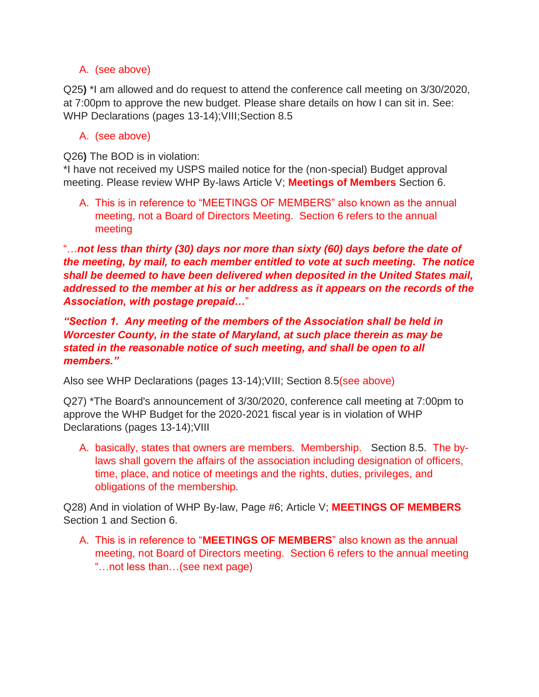## A. (see above)

Q25**)** \*I am allowed and do request to attend the conference call meeting on 3/30/2020, at 7:00pm to approve the new budget. Please share details on how I can sit in. See: WHP Declarations (pages 13-14); VIII; Section 8.5

## A. (see above)

Q26**)** The BOD is in violation:

\*I have not received my USPS mailed notice for the (non-special) Budget approval meeting. Please review WHP By-laws Article V; **Meetings of Members** Section 6.

A. This is in reference to "MEETINGS OF MEMBERS" also known as the annual meeting, not a Board of Directors Meeting. Section 6 refers to the annual meeting

"…*not less than thirty (30) days nor more than sixty (60) days before the date of the meeting, by mail, to each member entitled to vote at such meeting. The notice shall be deemed to have been delivered when deposited in the United States mail, addressed to the member at his or her address as it appears on the records of the Association, with postage prepaid…*"

*"Section 1. Any meeting of the members of the Association shall be held in Worcester County, in the state of Maryland, at such place therein as may be stated in the reasonable notice of such meeting, and shall be open to all members."*

Also see WHP Declarations (pages 13-14);VIII; Section 8.5(see above)

Q27) \*The Board's announcement of 3/30/2020, conference call meeting at 7:00pm to approve the WHP Budget for the 2020-2021 fiscal year is in violation of WHP Declarations (pages 13-14);VIII

A. basically, states that owners are members. Membership. Section 8.5. The bylaws shall govern the affairs of the association including designation of officers, time, place, and notice of meetings and the rights, duties, privileges, and obligations of the membership.

Q28) And in violation of WHP By-law, Page #6; Article V; **MEETINGS OF MEMBERS** Section 1 and Section 6.

A. This is in reference to "**MEETINGS OF MEMBERS**" also known as the annual meeting, not Board of Directors meeting. Section 6 refers to the annual meeting "…not less than…(see next page)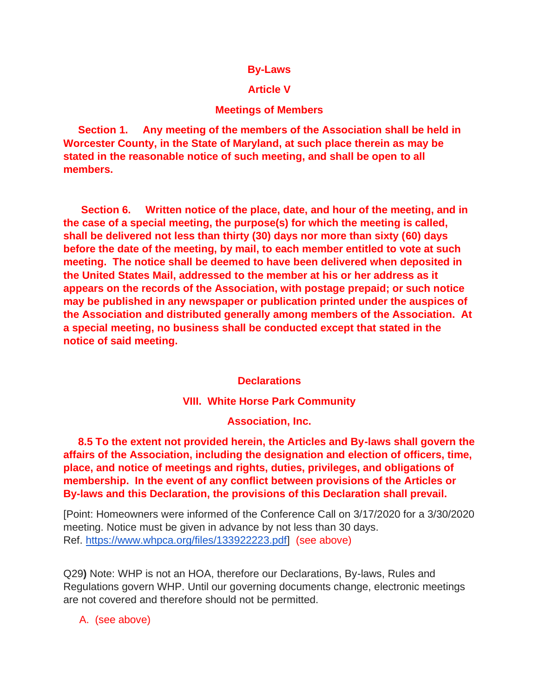### **By-Laws**

## **Article V**

### **Meetings of Members**

 **Section 1. Any meeting of the members of the Association shall be held in Worcester County, in the State of Maryland, at such place therein as may be stated in the reasonable notice of such meeting, and shall be open to all members.** 

 **Section 6. Written notice of the place, date, and hour of the meeting, and in the case of a special meeting, the purpose(s) for which the meeting is called, shall be delivered not less than thirty (30) days nor more than sixty (60) days before the date of the meeting, by mail, to each member entitled to vote at such meeting. The notice shall be deemed to have been delivered when deposited in the United States Mail, addressed to the member at his or her address as it appears on the records of the Association, with postage prepaid; or such notice may be published in any newspaper or publication printed under the auspices of the Association and distributed generally among members of the Association. At a special meeting, no business shall be conducted except that stated in the notice of said meeting.** 

### **Declarations**

#### **VIII. White Horse Park Community**

**Association, Inc.**

 **8.5 To the extent not provided herein, the Articles and By-laws shall govern the affairs of the Association, including the designation and election of officers, time, place, and notice of meetings and rights, duties, privileges, and obligations of membership. In the event of any conflict between provisions of the Articles or By-laws and this Declaration, the provisions of this Declaration shall prevail.**

[Point: Homeowners were informed of the Conference Call on 3/17/2020 for a 3/30/2020 meeting. Notice must be given in advance by not less than 30 days. Ref. [https://www.whpca.org/files/133922223.pdf\]](about:blank) (see above)

Q29**)** Note: WHP is not an HOA, therefore our Declarations, By-laws, Rules and Regulations govern WHP. Until our governing documents change, electronic meetings are not covered and therefore should not be permitted.

A. (see above)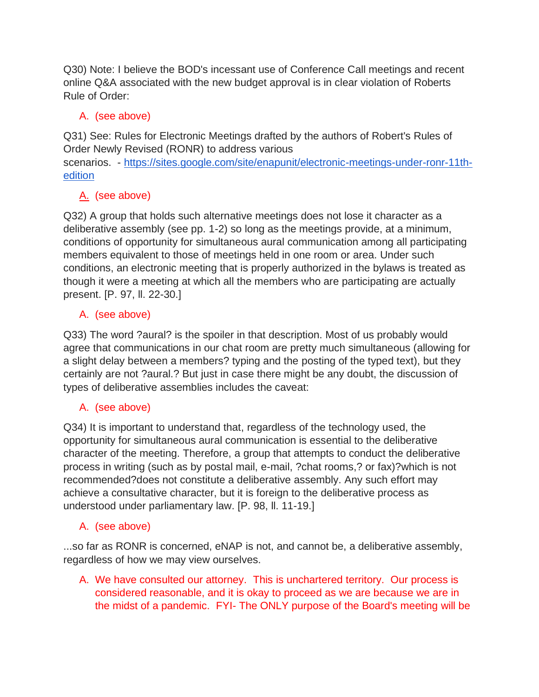Q30) Note: I believe the BOD's incessant use of Conference Call meetings and recent online Q&A associated with the new budget approval is in clear violation of Roberts Rule of Order:

# A. (see above)

Q31) See: Rules for Electronic Meetings drafted by the authors of Robert's Rules of Order Newly Revised (RONR) to address various

scenarios. - [https://sites.google.com/site/enapunit/electronic-meetings-under-ronr-11th](about:blank)[edition](about:blank)

# A. (see above)

Q32) A group that holds such alternative meetings does not lose it character as a deliberative assembly (see pp. 1-2) so long as the meetings provide, at a minimum, conditions of opportunity for simultaneous aural communication among all participating members equivalent to those of meetings held in one room or area. Under such conditions, an electronic meeting that is properly authorized in the bylaws is treated as though it were a meeting at which all the members who are participating are actually present. [P. 97, ll. 22-30.]

# A. (see above)

Q33) The word ?aural? is the spoiler in that description. Most of us probably would agree that communications in our chat room are pretty much simultaneous (allowing for a slight delay between a members? typing and the posting of the typed text), but they certainly are not ?aural.? But just in case there might be any doubt, the discussion of types of deliberative assemblies includes the caveat:

# A. (see above)

Q34) It is important to understand that, regardless of the technology used, the opportunity for simultaneous aural communication is essential to the deliberative character of the meeting. Therefore, a group that attempts to conduct the deliberative process in writing (such as by postal mail, e-mail, ?chat rooms,? or fax)?which is not recommended?does not constitute a deliberative assembly. Any such effort may achieve a consultative character, but it is foreign to the deliberative process as understood under parliamentary law. [P. 98, ll. 11-19.]

# A. (see above)

...so far as RONR is concerned, eNAP is not, and cannot be, a deliberative assembly, regardless of how we may view ourselves.

A. We have consulted our attorney. This is unchartered territory. Our process is considered reasonable, and it is okay to proceed as we are because we are in the midst of a pandemic. FYI- The ONLY purpose of the Board's meeting will be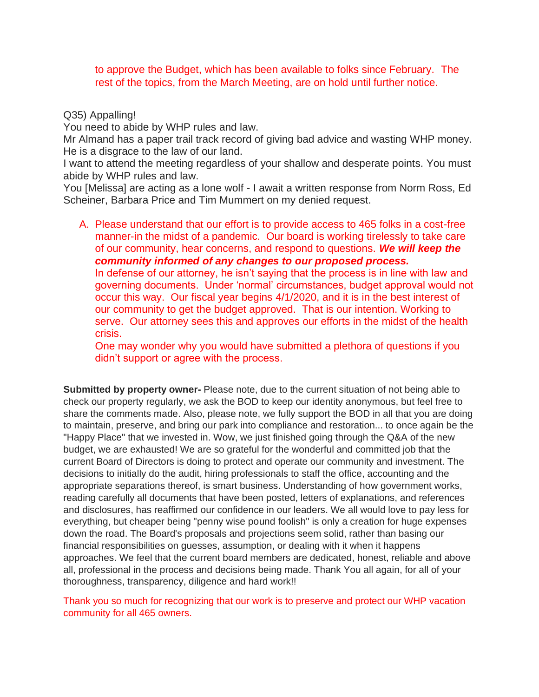to approve the Budget, which has been available to folks since February. The rest of the topics, from the March Meeting, are on hold until further notice.

### Q35) Appalling!

You need to abide by WHP rules and law.

Mr Almand has a paper trail track record of giving bad advice and wasting WHP money. He is a disgrace to the law of our land.

I want to attend the meeting regardless of your shallow and desperate points. You must abide by WHP rules and law.

You [Melissa] are acting as a lone wolf - I await a written response from Norm Ross, Ed Scheiner, Barbara Price and Tim Mummert on my denied request.

A. Please understand that our effort is to provide access to 465 folks in a cost-free manner-in the midst of a pandemic. Our board is working tirelessly to take care of our community, hear concerns, and respond to questions. *We will keep the community informed of any changes to our proposed process.*  In defense of our attorney, he isn't saying that the process is in line with law and

governing documents. Under 'normal' circumstances, budget approval would not occur this way. Our fiscal year begins 4/1/2020, and it is in the best interest of our community to get the budget approved. That is our intention. Working to serve. Our attorney sees this and approves our efforts in the midst of the health crisis.

One may wonder why you would have submitted a plethora of questions if you didn't support or agree with the process.

**Submitted by property owner-** Please note, due to the current situation of not being able to check our property regularly, we ask the BOD to keep our identity anonymous, but feel free to share the comments made. Also, please note, we fully support the BOD in all that you are doing to maintain, preserve, and bring our park into compliance and restoration... to once again be the "Happy Place" that we invested in. Wow, we just finished going through the Q&A of the new budget, we are exhausted! We are so grateful for the wonderful and committed job that the current Board of Directors is doing to protect and operate our community and investment. The decisions to initially do the audit, hiring professionals to staff the office, accounting and the appropriate separations thereof, is smart business. Understanding of how government works, reading carefully all documents that have been posted, letters of explanations, and references and disclosures, has reaffirmed our confidence in our leaders. We all would love to pay less for everything, but cheaper being "penny wise pound foolish" is only a creation for huge expenses down the road. The Board's proposals and projections seem solid, rather than basing our financial responsibilities on guesses, assumption, or dealing with it when it happens approaches. We feel that the current board members are dedicated, honest, reliable and above all, professional in the process and decisions being made. Thank You all again, for all of your thoroughness, transparency, diligence and hard work!!

Thank you so much for recognizing that our work is to preserve and protect our WHP vacation community for all 465 owners.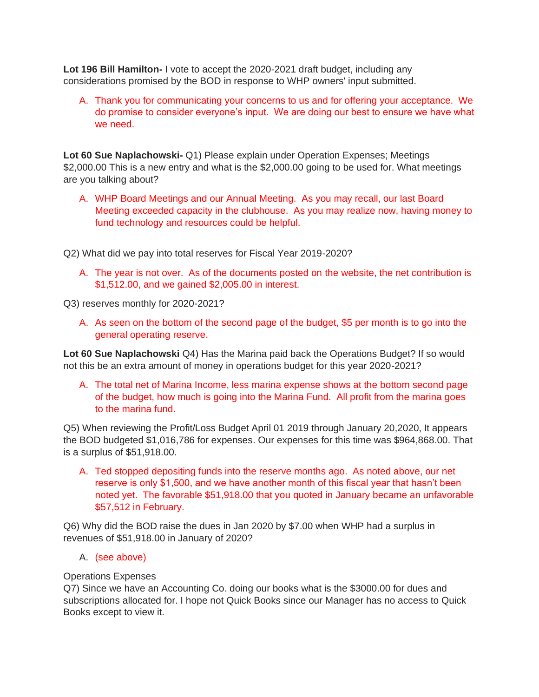**Lot 196 Bill Hamilton-** I vote to accept the 2020-2021 draft budget, including any considerations promised by the BOD in response to WHP owners' input submitted.

A. Thank you for communicating your concerns to us and for offering your acceptance. We do promise to consider everyone's input. We are doing our best to ensure we have what we need.

**Lot 60 Sue Naplachowski-** Q1) Please explain under Operation Expenses; Meetings \$2,000.00 This is a new entry and what is the \$2,000.00 going to be used for. What meetings are you talking about?

A. WHP Board Meetings and our Annual Meeting. As you may recall, our last Board Meeting exceeded capacity in the clubhouse. As you may realize now, having money to fund technology and resources could be helpful.

Q2) What did we pay into total reserves for Fiscal Year 2019-2020?

A. The year is not over. As of the documents posted on the website, the net contribution is \$1,512.00, and we gained \$2,005.00 in interest.

Q3) reserves monthly for 2020-2021?

A. As seen on the bottom of the second page of the budget, \$5 per month is to go into the general operating reserve.

**Lot 60 Sue Naplachowski** Q4) Has the Marina paid back the Operations Budget? If so would not this be an extra amount of money in operations budget for this year 2020-2021?

A. The total net of Marina Income, less marina expense shows at the bottom second page of the budget, how much is going into the Marina Fund. All profit from the marina goes to the marina fund.

Q5) When reviewing the Profit/Loss Budget April 01 2019 through January 20,2020, It appears the BOD budgeted \$1,016,786 for expenses. Our expenses for this time was \$964,868.00. That is a surplus of \$51,918.00.

A. Ted stopped depositing funds into the reserve months ago. As noted above, our net reserve is only \$1,500, and we have another month of this fiscal year that hasn't been noted yet. The favorable \$51,918.00 that you quoted in January became an unfavorable \$57,512 in February.

Q6) Why did the BOD raise the dues in Jan 2020 by \$7.00 when WHP had a surplus in revenues of \$51,918.00 in January of 2020?

### A. (see above)

### Operations Expenses

Q7) Since we have an Accounting Co. doing our books what is the \$3000.00 for dues and subscriptions allocated for. I hope not Quick Books since our Manager has no access to Quick Books except to view it.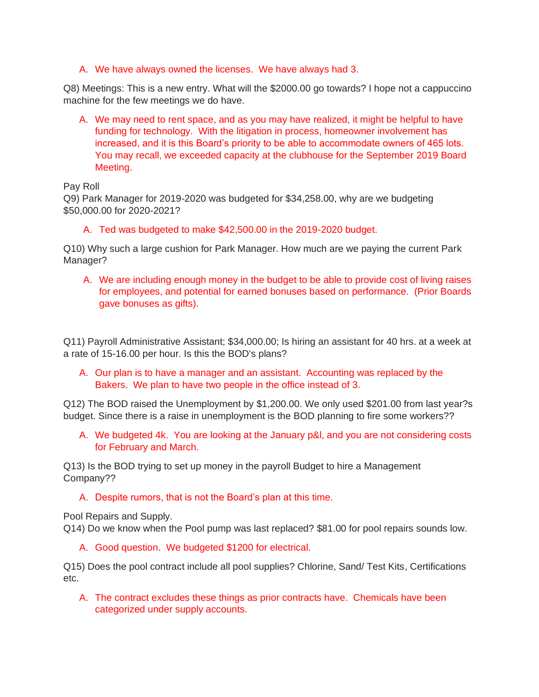A. We have always owned the licenses. We have always had 3.

Q8) Meetings: This is a new entry. What will the \$2000.00 go towards? I hope not a cappuccino machine for the few meetings we do have.

A. We may need to rent space, and as you may have realized, it might be helpful to have funding for technology. With the litigation in process, homeowner involvement has increased, and it is this Board's priority to be able to accommodate owners of 465 lots. You may recall, we exceeded capacity at the clubhouse for the September 2019 Board Meeting.

Pay Roll

Q9) Park Manager for 2019-2020 was budgeted for \$34,258.00, why are we budgeting \$50,000.00 for 2020-2021?

A. Ted was budgeted to make \$42,500.00 in the 2019-2020 budget.

Q10) Why such a large cushion for Park Manager. How much are we paying the current Park Manager?

A. We are including enough money in the budget to be able to provide cost of living raises for employees, and potential for earned bonuses based on performance. (Prior Boards gave bonuses as gifts).

Q11) Payroll Administrative Assistant; \$34,000.00; Is hiring an assistant for 40 hrs. at a week at a rate of 15-16.00 per hour. Is this the BOD's plans?

A. Our plan is to have a manager and an assistant. Accounting was replaced by the Bakers. We plan to have two people in the office instead of 3.

Q12) The BOD raised the Unemployment by \$1,200.00. We only used \$201.00 from last year?s budget. Since there is a raise in unemployment is the BOD planning to fire some workers??

A. We budgeted 4k. You are looking at the January p&l, and you are not considering costs for February and March.

Q13) Is the BOD trying to set up money in the payroll Budget to hire a Management Company??

A. Despite rumors, that is not the Board's plan at this time.

Pool Repairs and Supply.

Q14) Do we know when the Pool pump was last replaced? \$81.00 for pool repairs sounds low.

A. Good question. We budgeted \$1200 for electrical.

Q15) Does the pool contract include all pool supplies? Chlorine, Sand/ Test Kits, Certifications etc.

A. The contract excludes these things as prior contracts have. Chemicals have been categorized under supply accounts.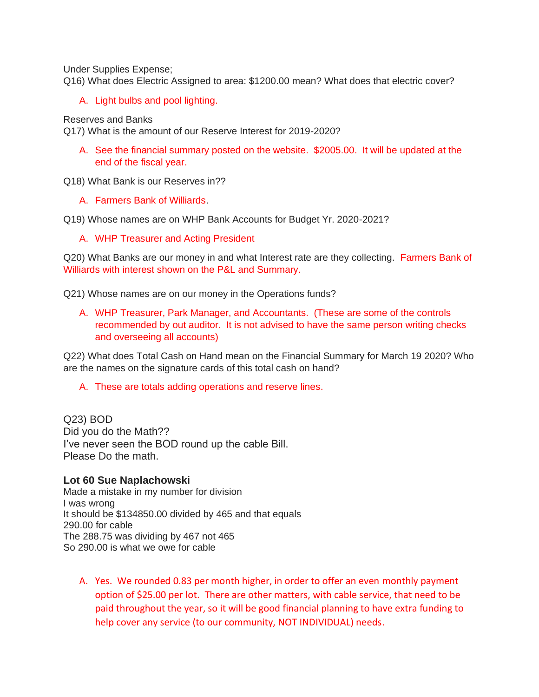Under Supplies Expense;

Q16) What does Electric Assigned to area: \$1200.00 mean? What does that electric cover?

A. Light bulbs and pool lighting.

Reserves and Banks

Q17) What is the amount of our Reserve Interest for 2019-2020?

A. See the financial summary posted on the website. \$2005.00. It will be updated at the end of the fiscal year.

Q18) What Bank is our Reserves in??

A. Farmers Bank of Williards.

Q19) Whose names are on WHP Bank Accounts for Budget Yr. 2020-2021?

A. WHP Treasurer and Acting President

Q20) What Banks are our money in and what Interest rate are they collecting. Farmers Bank of Williards with interest shown on the P&L and Summary.

Q21) Whose names are on our money in the Operations funds?

A. WHP Treasurer, Park Manager, and Accountants. (These are some of the controls recommended by out auditor. It is not advised to have the same person writing checks and overseeing all accounts)

Q22) What does Total Cash on Hand mean on the Financial Summary for March 19 2020? Who are the names on the signature cards of this total cash on hand?

A. These are totals adding operations and reserve lines.

Q23) BOD Did you do the Math?? I've never seen the BOD round up the cable Bill. Please Do the math.

### **Lot 60 Sue Naplachowski**

Made a mistake in my number for division I was wrong It should be \$134850.00 divided by 465 and that equals 290.00 for cable The 288.75 was dividing by 467 not 465 So 290.00 is what we owe for cable

A. Yes. We rounded 0.83 per month higher, in order to offer an even monthly payment option of \$25.00 per lot. There are other matters, with cable service, that need to be paid throughout the year, so it will be good financial planning to have extra funding to help cover any service (to our community, NOT INDIVIDUAL) needs.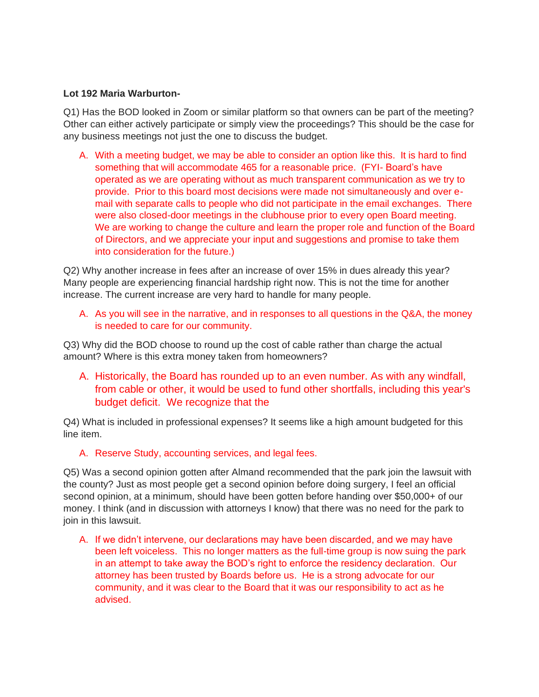#### **Lot 192 Maria Warburton-**

Q1) Has the BOD looked in Zoom or similar platform so that owners can be part of the meeting? Other can either actively participate or simply view the proceedings? This should be the case for any business meetings not just the one to discuss the budget.

A. With a meeting budget, we may be able to consider an option like this. It is hard to find something that will accommodate 465 for a reasonable price. (FYI- Board's have operated as we are operating without as much transparent communication as we try to provide. Prior to this board most decisions were made not simultaneously and over email with separate calls to people who did not participate in the email exchanges. There were also closed-door meetings in the clubhouse prior to every open Board meeting. We are working to change the culture and learn the proper role and function of the Board of Directors, and we appreciate your input and suggestions and promise to take them into consideration for the future.)

Q2) Why another increase in fees after an increase of over 15% in dues already this year? Many people are experiencing financial hardship right now. This is not the time for another increase. The current increase are very hard to handle for many people.

A. As you will see in the narrative, and in responses to all questions in the Q&A, the money is needed to care for our community.

Q3) Why did the BOD choose to round up the cost of cable rather than charge the actual amount? Where is this extra money taken from homeowners?

A. Historically, the Board has rounded up to an even number. As with any windfall, from cable or other, it would be used to fund other shortfalls, including this year's budget deficit. We recognize that the

Q4) What is included in professional expenses? It seems like a high amount budgeted for this line item.

#### A. Reserve Study, accounting services, and legal fees.

Q5) Was a second opinion gotten after Almand recommended that the park join the lawsuit with the county? Just as most people get a second opinion before doing surgery, I feel an official second opinion, at a minimum, should have been gotten before handing over \$50,000+ of our money. I think (and in discussion with attorneys I know) that there was no need for the park to join in this lawsuit.

A. If we didn't intervene, our declarations may have been discarded, and we may have been left voiceless. This no longer matters as the full-time group is now suing the park in an attempt to take away the BOD's right to enforce the residency declaration. Our attorney has been trusted by Boards before us. He is a strong advocate for our community, and it was clear to the Board that it was our responsibility to act as he advised.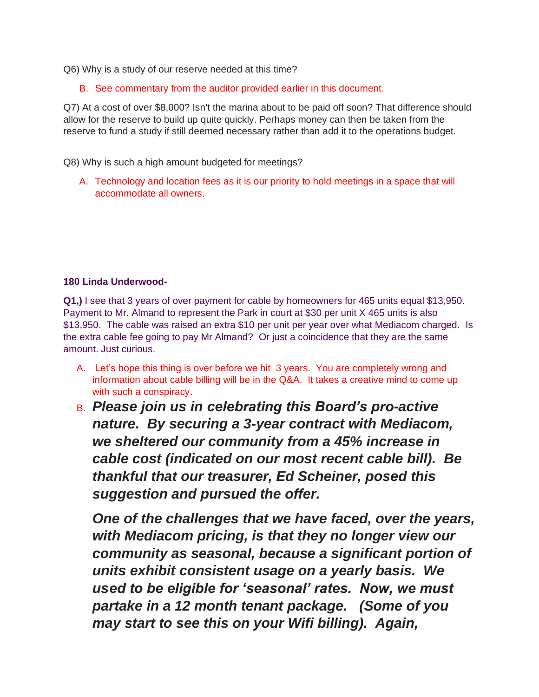Q6) Why is a study of our reserve needed at this time?

B. See commentary from the auditor provided earlier in this document.

Q7) At a cost of over \$8,000? Isn't the marina about to be paid off soon? That difference should allow for the reserve to build up quite quickly. Perhaps money can then be taken from the reserve to fund a study if still deemed necessary rather than add it to the operations budget.

Q8) Why is such a high amount budgeted for meetings?

A. Technology and location fees as it is our priority to hold meetings in a space that will accommodate all owners.

#### **180 Linda Underwood-**

**Q1,)** I see that 3 years of over payment for cable by homeowners for 465 units equal \$13,950. Payment to Mr. Almand to represent the Park in court at \$30 per unit X 465 units is also \$13,950. The cable was raised an extra \$10 per unit per year over what Mediacom charged. Is the extra cable fee going to pay Mr Almand? Or just a coincidence that they are the same amount. Just curious.

- A. Let's hope this thing is over before we hit 3 years. You are completely wrong and information about cable billing will be in the Q&A. It takes a creative mind to come up with such a conspiracy.
- B. *Please join us in celebrating this Board's pro-active nature. By securing a 3-year contract with Mediacom, we sheltered our community from a 45% increase in cable cost (indicated on our most recent cable bill). Be thankful that our treasurer, Ed Scheiner, posed this suggestion and pursued the offer.*

*One of the challenges that we have faced, over the years, with Mediacom pricing, is that they no longer view our community as seasonal, because a significant portion of units exhibit consistent usage on a yearly basis. We used to be eligible for 'seasonal' rates. Now, we must partake in a 12 month tenant package. (Some of you may start to see this on your Wifi billing). Again,*